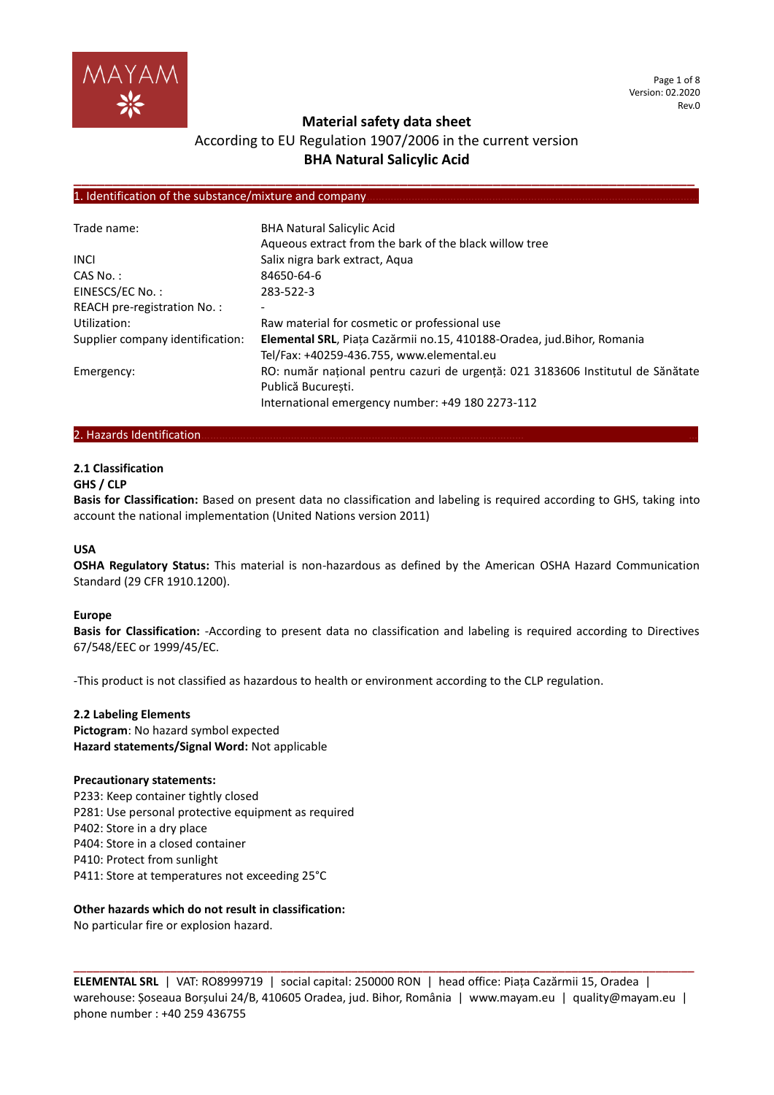

## **Material safety data sheet**

# According to EU Regulation 1907/2006 in the current version **BHA Natural Salicylic Acid**

**\_\_\_\_\_\_\_\_\_\_\_\_\_\_\_\_\_\_\_\_\_\_\_\_\_\_\_\_\_\_\_\_\_\_\_\_\_\_\_\_\_\_\_\_\_\_\_\_\_\_\_\_\_\_\_\_\_\_\_\_\_\_\_\_\_\_\_\_\_\_\_\_\_\_\_\_\_\_\_\_**

### 1. Identification of the substance/mixture and company.

| Trade name:                      | <b>BHA Natural Salicylic Acid</b>                                               |
|----------------------------------|---------------------------------------------------------------------------------|
|                                  | Aqueous extract from the bark of the black willow tree                          |
| <b>INCL</b>                      | Salix nigra bark extract, Aqua                                                  |
| $CAS No.$ :                      | 84650-64-6                                                                      |
| EINESCS/EC No.:                  | 283-522-3                                                                       |
| REACH pre-registration No.:      | -                                                                               |
| Utilization:                     | Raw material for cosmetic or professional use                                   |
| Supplier company identification: | Elemental SRL, Piața Cazărmii no.15, 410188-Oradea, jud.Bihor, Romania          |
|                                  | Tel/Fax: +40259-436.755, www.elemental.eu                                       |
| Emergency:                       | RO: număr național pentru cazuri de urgență: 021 3183606 Institutul de Sănătate |
|                                  | Publică Bucuresti.                                                              |
|                                  | International emergency number: +49 180 2273-112                                |

### 2. Hazards Identification...

# **2.1 Classification**

### **GHS / CLP**

**Basis for Classification:** Based on present data no classification and labeling is required according to GHS, taking into account the national implementation (United Nations version 2011)

## **USA**

**OSHA Regulatory Status:** This material is non-hazardous as defined by the American OSHA Hazard Communication Standard (29 CFR 1910.1200).

## **Europe**

**Basis for Classification:** -According to present data no classification and labeling is required according to Directives 67/548/EEC or 1999/45/EC.

-This product is not classified as hazardous to health or environment according to the CLP regulation.

## **2.2 Labeling Elements**

**Pictogram**: No hazard symbol expected **Hazard statements/Signal Word:** Not applicable

### **Precautionary statements:**

P233: Keep container tightly closed P281: Use personal protective equipment as required P402: Store in a dry place P404: Store in a closed container P410: Protect from sunlight P411: Store at temperatures not exceeding 25°C

# **Other hazards which do not result in classification:**

No particular fire or explosion hazard.

**ELEMENTAL SRL** | VAT: RO8999719 | social capital: 250000 RON | head office: Piața Cazărmii 15, Oradea | warehouse: Șoseaua Borșului 24/B, 410605 Oradea, jud. Bihor, România | www.mayam.eu | quality@mayam.eu | phone number : +40 259 436755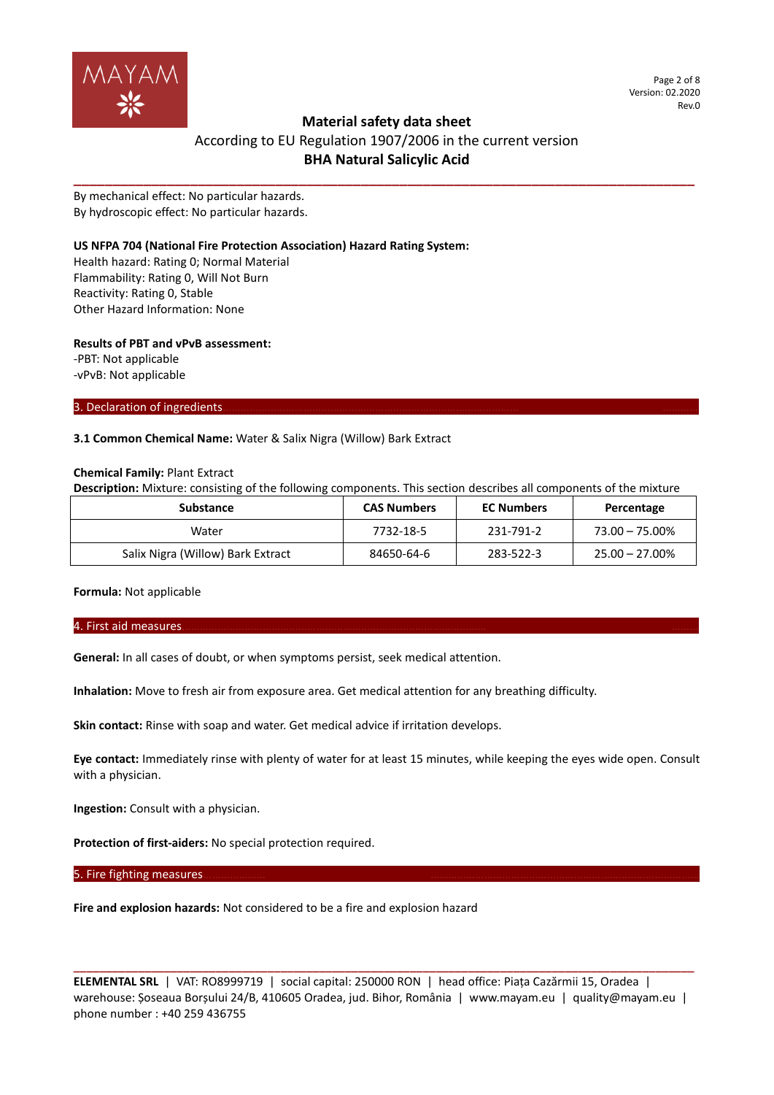

Page 2 of 8 Version: 02.2020 Rev.0

# **Material safety data sheet**

# According to EU Regulation 1907/2006 in the current version **BHA Natural Salicylic Acid**

**\_\_\_\_\_\_\_\_\_\_\_\_\_\_\_\_\_\_\_\_\_\_\_\_\_\_\_\_\_\_\_\_\_\_\_\_\_\_\_\_\_\_\_\_\_\_\_\_\_\_\_\_\_\_\_\_\_\_\_\_\_\_\_\_\_\_\_\_\_\_\_\_\_\_\_\_\_\_\_\_**

By mechanical effect: No particular hazards. By hydroscopic effect: No particular hazards.

## **US NFPA 704 (National Fire Protection Association) Hazard Rating System:**

Health hazard: Rating 0; Normal Material Flammability: Rating 0, Will Not Burn Reactivity: Rating 0, Stable Other Hazard Information: None

## **Results of PBT and vPvB assessment:**

-PBT: Not applicable -vPvB: Not applicable

3. Declaration of ingredients.

## **3.1 Common Chemical Name:** Water & Salix Nigra (Willow) Bark Extract

### **Chemical Family:** Plant Extract

**Description:** Mixture: consisting of the following components. This section describes all components of the mixture

| <b>Substance</b>                  | <b>CAS Numbers</b> | <b>EC Numbers</b> | Percentage        |
|-----------------------------------|--------------------|-------------------|-------------------|
| Water                             | 7732-18-5          | 231-791-2         | $73.00 - 75.00\%$ |
| Salix Nigra (Willow) Bark Extract | 84650-64-6         | 283-522-3         | $25.00 - 27.00\%$ |

**Formula:** Not applicable

### 4. First aid measures………………………………………………………………………………………… ………

**General:** In all cases of doubt, or when symptoms persist, seek medical attention.

**Inhalation:** Move to fresh air from exposure area. Get medical attention for any breathing difficulty.

**Skin contact:** Rinse with soap and water. Get medical advice if irritation develops.

**Eye contact:** Immediately rinse with plenty of water for at least 15 minutes, while keeping the eyes wide open. Consult with a physician.

**Ingestion:** Consult with a physician.

**Protection of first-aiders:** No special protection required.

5. Fire fighting measures.

**Fire and explosion hazards:** Not considered to be a fire and explosion hazard

**ELEMENTAL SRL** | VAT: RO8999719 | social capital: 250000 RON | head office: Piața Cazărmii 15, Oradea | warehouse: Șoseaua Borșului 24/B, 410605 Oradea, jud. Bihor, România | www.mayam.eu | quality@mayam.eu | phone number : +40 259 436755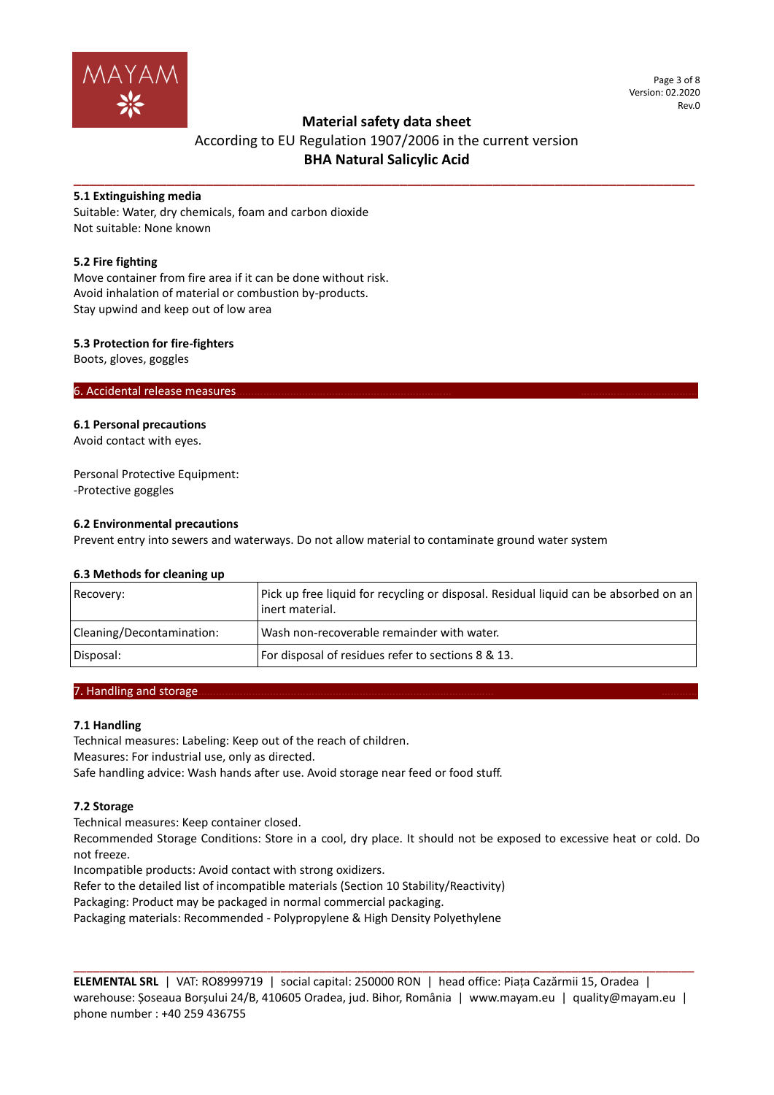

#### Page 3 of 8 Version: 02.2020 Rev.0

# **Material safety data sheet**

# According to EU Regulation 1907/2006 in the current version **BHA Natural Salicylic Acid**

**\_\_\_\_\_\_\_\_\_\_\_\_\_\_\_\_\_\_\_\_\_\_\_\_\_\_\_\_\_\_\_\_\_\_\_\_\_\_\_\_\_\_\_\_\_\_\_\_\_\_\_\_\_\_\_\_\_\_\_\_\_\_\_\_\_\_\_\_\_\_\_\_\_\_\_\_\_\_\_\_**

## **5.1 Extinguishing media**

Suitable: Water, dry chemicals, foam and carbon dioxide Not suitable: None known

## **5.2 Fire fighting**

Move container from fire area if it can be done without risk. Avoid inhalation of material or combustion by-products. Stay upwind and keep out of low area

## **5.3 Protection for fire-fighters**

Boots, gloves, goggles

6. Accidental release measures.

## **6.1 Personal precautions**

Avoid contact with eyes.

Personal Protective Equipment: -Protective goggles

## **6.2 Environmental precautions**

Prevent entry into sewers and waterways. Do not allow material to contaminate ground water system

## **6.3 Methods for cleaning up**

| Recovery:                 | Pick up free liquid for recycling or disposal. Residual liquid can be absorbed on an<br>linert material. |
|---------------------------|----------------------------------------------------------------------------------------------------------|
| Cleaning/Decontamination: | Wash non-recoverable remainder with water.                                                               |
| Disposal:                 | For disposal of residues refer to sections 8 & 13.                                                       |

## 7. Handling and storage...

# **7.1 Handling**

Technical measures: Labeling: Keep out of the reach of children. Measures: For industrial use, only as directed. Safe handling advice: Wash hands after use. Avoid storage near feed or food stuff.

# **7.2 Storage**

Technical measures: Keep container closed.

Recommended Storage Conditions: Store in a cool, dry place. It should not be exposed to excessive heat or cold. Do not freeze.

Incompatible products: Avoid contact with strong oxidizers.

Refer to the detailed list of incompatible materials (Section 10 Stability/Reactivity)

Packaging: Product may be packaged in normal commercial packaging.

Packaging materials: Recommended - Polypropylene & High Density Polyethylene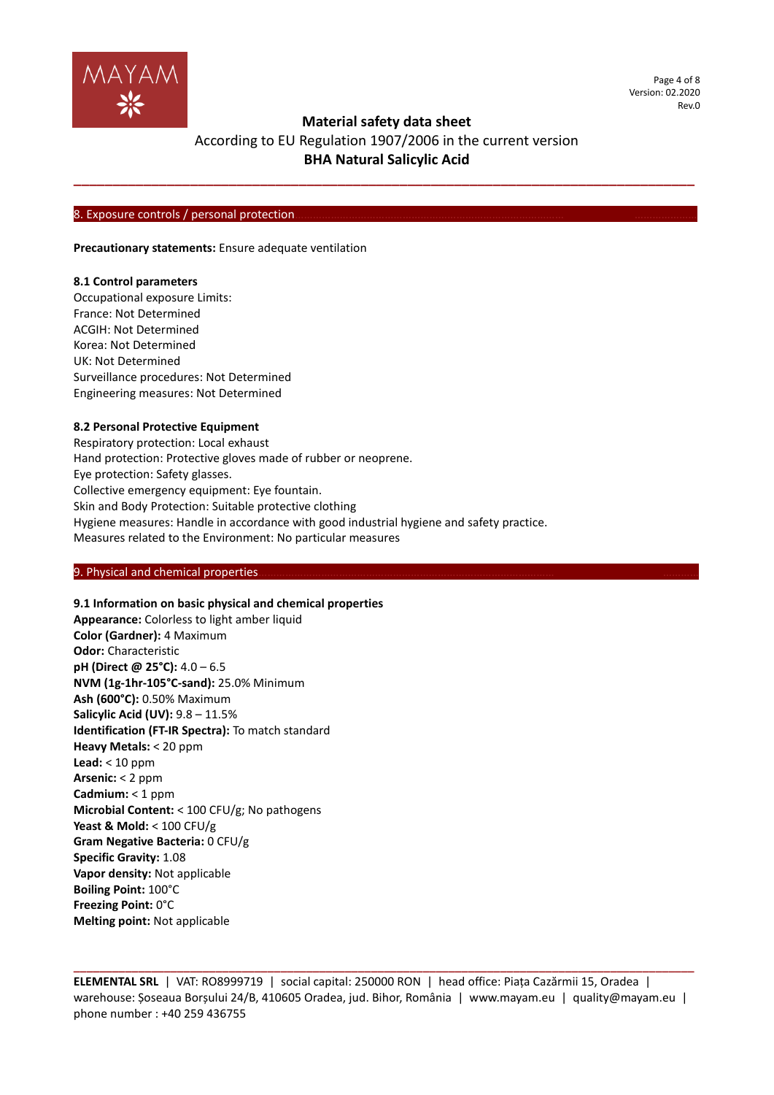

Page 4 of 8 Version: 02.2020 Rev.0

# **Material safety data sheet**

# According to EU Regulation 1907/2006 in the current version **BHA Natural Salicylic Acid**

**\_\_\_\_\_\_\_\_\_\_\_\_\_\_\_\_\_\_\_\_\_\_\_\_\_\_\_\_\_\_\_\_\_\_\_\_\_\_\_\_\_\_\_\_\_\_\_\_\_\_\_\_\_\_\_\_\_\_\_\_\_\_\_\_\_\_\_\_\_\_\_\_\_\_\_\_\_\_\_\_**

#### 8. Exposure controls / personal protection.

**Precautionary statements:** Ensure adequate ventilation

### **8.1 Control parameters**

Occupational exposure Limits: France: Not Determined ACGIH: Not Determined Korea: Not Determined UK: Not Determined Surveillance procedures: Not Determined Engineering measures: Not Determined

### **8.2 Personal Protective Equipment**

Respiratory protection: Local exhaust Hand protection: Protective gloves made of rubber or neoprene. Eye protection: Safety glasses. Collective emergency equipment: Eye fountain. Skin and Body Protection: Suitable protective clothing Hygiene measures: Handle in accordance with good industrial hygiene and safety practice. Measures related to the Environment: No particular measures

### 9. Physical and chemical properties

## **9.1 Information on basic physical and chemical properties**

**Appearance:** Colorless to light amber liquid **Color (Gardner):** 4 Maximum **Odor:** Characteristic **pH (Direct @ 25°C):** 4.0 – 6.5 **NVM (1g-1hr-105°C-sand):** 25.0% Minimum **Ash (600°C):** 0.50% Maximum **Salicylic Acid (UV):** 9.8 – 11.5% **Identification (FT-IR Spectra):** To match standard **Heavy Metals:** < 20 ppm **Lead:** < 10 ppm **Arsenic:** < 2 ppm **Cadmium:** < 1 ppm **Microbial Content:** < 100 CFU/g; No pathogens **Yeast & Mold:** < 100 CFU/g **Gram Negative Bacteria:** 0 CFU/g **Specific Gravity:** 1.08 **Vapor density:** Not applicable **Boiling Point:** 100°C **Freezing Point:** 0°C **Melting point:** Not applicable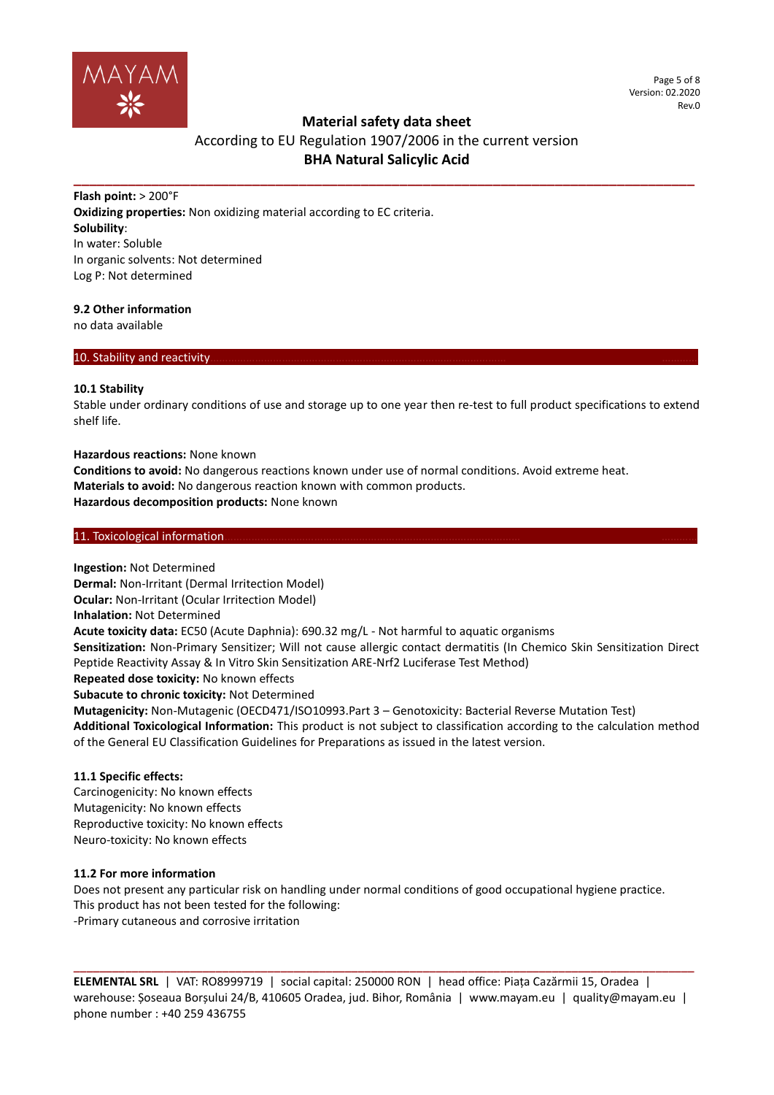

# **Material safety data sheet**

# According to EU Regulation 1907/2006 in the current version **BHA Natural Salicylic Acid**

**\_\_\_\_\_\_\_\_\_\_\_\_\_\_\_\_\_\_\_\_\_\_\_\_\_\_\_\_\_\_\_\_\_\_\_\_\_\_\_\_\_\_\_\_\_\_\_\_\_\_\_\_\_\_\_\_\_\_\_\_\_\_\_\_\_\_\_\_\_\_\_\_\_\_\_\_\_\_\_\_**

**Flash point:** > 200°F **Oxidizing properties:** Non oxidizing material according to EC criteria. **Solubility**: In water: Soluble In organic solvents: Not determined Log P: Not determined

### **9.2 Other information**

no data available

## 10. Stability and reactivity.

### **10.1 Stability**

Stable under ordinary conditions of use and storage up to one year then re-test to full product specifications to extend shelf life.

### **Hazardous reactions:** None known

**Conditions to avoid:** No dangerous reactions known under use of normal conditions. Avoid extreme heat. **Materials to avoid:** No dangerous reaction known with common products. **Hazardous decomposition products:** None known

### 11. Toxicological information.

**Ingestion:** Not Determined **Dermal:** Non-Irritant (Dermal Irritection Model) **Ocular:** Non-Irritant (Ocular Irritection Model) **Inhalation:** Not Determined **Acute toxicity data:** EC50 (Acute Daphnia): 690.32 mg/L - Not harmful to aquatic organisms **Sensitization:** Non-Primary Sensitizer; Will not cause allergic contact dermatitis (In Chemico Skin Sensitization Direct Peptide Reactivity Assay & In Vitro Skin Sensitization ARE-Nrf2 Luciferase Test Method) **Repeated dose toxicity:** No known effects **Subacute to chronic toxicity:** Not Determined **Mutagenicity:** Non-Mutagenic (OECD471/ISO10993.Part 3 – Genotoxicity: Bacterial Reverse Mutation Test)

**Additional Toxicological Information:** This product is not subject to classification according to the calculation method of the General EU Classification Guidelines for Preparations as issued in the latest version.

### **11.1 Specific effects:**

Carcinogenicity: No known effects Mutagenicity: No known effects Reproductive toxicity: No known effects Neuro-toxicity: No known effects

## **11.2 For more information**

Does not present any particular risk on handling under normal conditions of good occupational hygiene practice. This product has not been tested for the following: -Primary cutaneous and corrosive irritation

**ELEMENTAL SRL** | VAT: RO8999719 | social capital: 250000 RON | head office: Piața Cazărmii 15, Oradea | warehouse: Șoseaua Borșului 24/B, 410605 Oradea, jud. Bihor, România | www.mayam.eu | quality@mayam.eu | phone number : +40 259 436755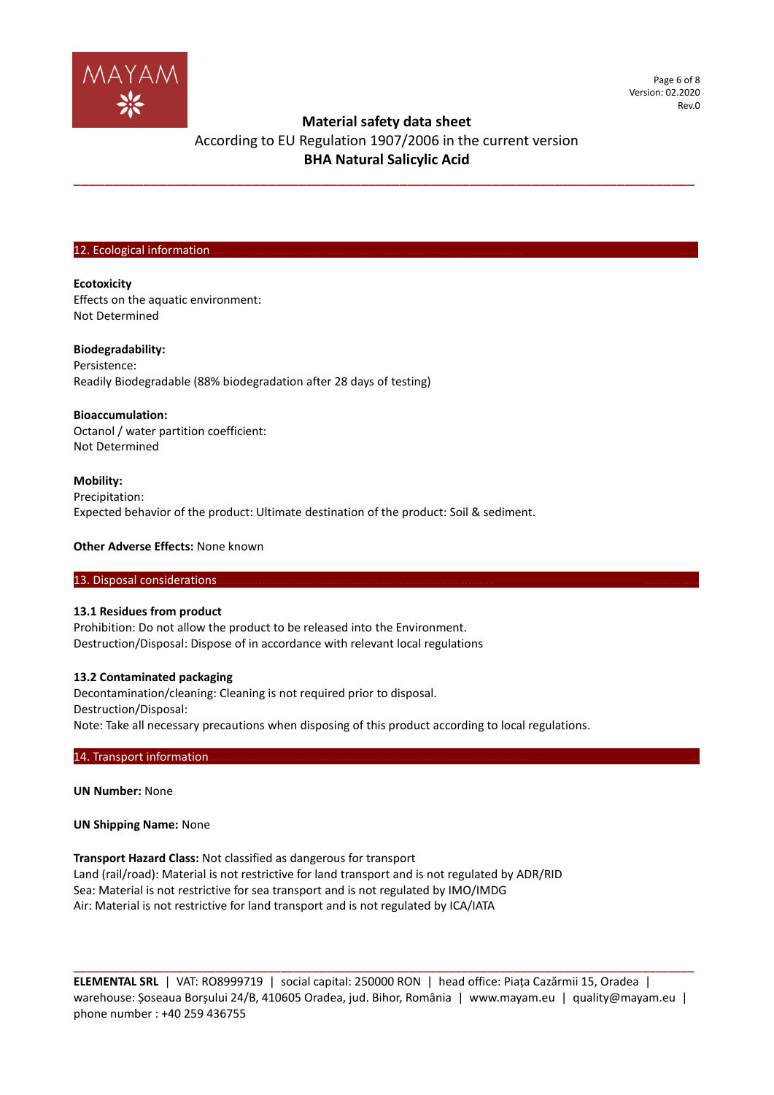

# **Material safety data sheet**

# According to EU Regulation 1907/2006 in the current version **BHA Natural Salicylic Acid**

**\_\_\_\_\_\_\_\_\_\_\_\_\_\_\_\_\_\_\_\_\_\_\_\_\_\_\_\_\_\_\_\_\_\_\_\_\_\_\_\_\_\_\_\_\_\_\_\_\_\_\_\_\_\_\_\_\_\_\_\_\_\_\_\_\_\_\_\_\_\_\_\_\_\_\_\_\_\_\_\_**

#### 12. Ecological information

## **Ecotoxicity**

Effects on the aquatic environment: Not Determined

### **Biodegradability:**

Persistence: Readily Biodegradable (88% biodegradation after 28 days of testing)

### **Bioaccumulation:**

Octanol / water partition coefficient: Not Determined

### **Mobility:**

Precipitation: Expected behavior of the product: Ultimate destination of the product: Soil & sediment.

### **Other Adverse Effects:** None known

### 13. Disposal considerations

### **13.1 Residues from product**

Prohibition: Do not allow the product to be released into the Environment. Destruction/Disposal: Dispose of in accordance with relevant local regulations

## **13.2 Contaminated packaging**

Decontamination/cleaning: Cleaning is not required prior to disposal. Destruction/Disposal: Note: Take all necessary precautions when disposing of this product according to local regulations.

### 14. Transport information.

**UN Number:** None

## **UN Shipping Name:** None

**Transport Hazard Class:** Not classified as dangerous for transport Land (rail/road): Material is not restrictive for land transport and is not regulated by ADR/RID Sea: Material is not restrictive for sea transport and is not regulated by IMO/IMDG Air: Material is not restrictive for land transport and is not regulated by ICA/IATA

**ELEMENTAL SRL** | VAT: RO8999719 | social capital: 250000 RON | head office: Piața Cazărmii 15, Oradea | warehouse: Șoseaua Borșului 24/B, 410605 Oradea, jud. Bihor, România | www.mayam.eu | quality@mayam.eu | phone number : +40 259 436755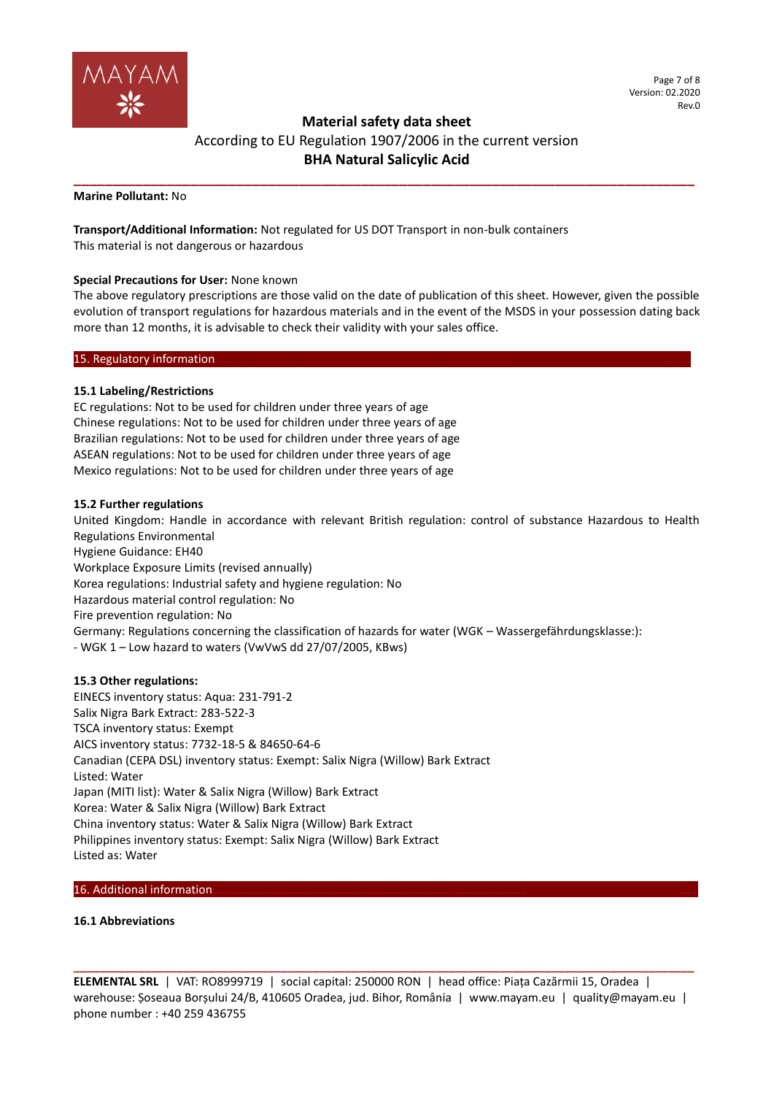

# **Material safety data sheet**  According to EU Regulation 1907/2006 in the current version **BHA Natural Salicylic Acid**

**\_\_\_\_\_\_\_\_\_\_\_\_\_\_\_\_\_\_\_\_\_\_\_\_\_\_\_\_\_\_\_\_\_\_\_\_\_\_\_\_\_\_\_\_\_\_\_\_\_\_\_\_\_\_\_\_\_\_\_\_\_\_\_\_\_\_\_\_\_\_\_\_\_\_\_\_\_\_\_\_**

**Marine Pollutant:** No

**Transport/Additional Information:** Not regulated for US DOT Transport in non-bulk containers This material is not dangerous or hazardous

## **Special Precautions for User:** None known

The above regulatory prescriptions are those valid on the date of publication of this sheet. However, given the possible evolution of transport regulations for hazardous materials and in the event of the MSDS in your possession dating back more than 12 months, it is advisable to check their validity with your sales office.

### 15. Regulatory information

## **15.1 Labeling/Restrictions**

EC regulations: Not to be used for children under three years of age Chinese regulations: Not to be used for children under three years of age Brazilian regulations: Not to be used for children under three years of age ASEAN regulations: Not to be used for children under three years of age Mexico regulations: Not to be used for children under three years of age

### **15.2 Further regulations**

United Kingdom: Handle in accordance with relevant British regulation: control of substance Hazardous to Health Regulations Environmental Hygiene Guidance: EH40 Workplace Exposure Limits (revised annually) Korea regulations: Industrial safety and hygiene regulation: No Hazardous material control regulation: No Fire prevention regulation: No Germany: Regulations concerning the classification of hazards for water (WGK – Wassergefährdungsklasse:): - WGK 1 – Low hazard to waters (VwVwS dd 27/07/2005, KBws)

### **15.3 Other regulations:**

EINECS inventory status: Aqua: 231-791-2 Salix Nigra Bark Extract: 283-522-3 TSCA inventory status: Exempt AICS inventory status: 7732-18-5 & 84650-64-6 Canadian (CEPA DSL) inventory status: Exempt: Salix Nigra (Willow) Bark Extract Listed: Water Japan (MITI list): Water & Salix Nigra (Willow) Bark Extract Korea: Water & Salix Nigra (Willow) Bark Extract China inventory status: Water & Salix Nigra (Willow) Bark Extract Philippines inventory status: Exempt: Salix Nigra (Willow) Bark Extract Listed as: Water

## 16. Additional information

## **16.1 Abbreviations**

**ELEMENTAL SRL** | VAT: RO8999719 | social capital: 250000 RON | head office: Piața Cazărmii 15, Oradea | warehouse: Șoseaua Borșului 24/B, 410605 Oradea, jud. Bihor, România | www.mayam.eu | quality@mayam.eu | phone number : +40 259 436755